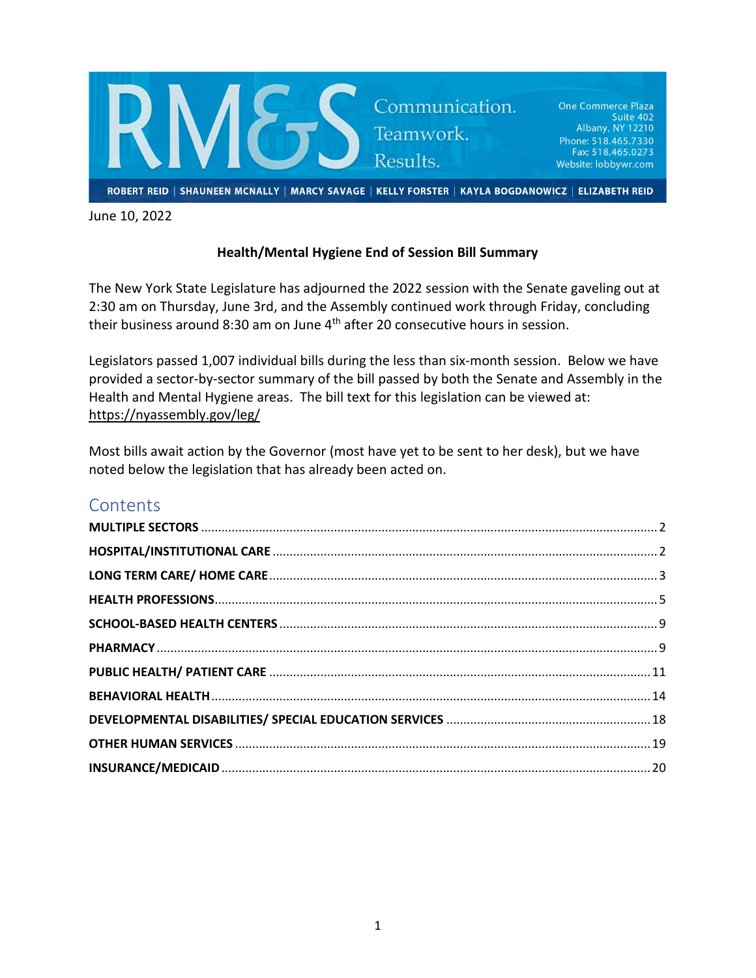

June 10, 2022

#### **Health/Mental Hygiene End of Session Bill Summary**

The New York State Legislature has adjourned the 2022 session with the Senate gaveling out at 2:30 am on Thursday, June 3rd, and the Assembly continued work through Friday, concluding their business around 8:30 am on June 4<sup>th</sup> after 20 consecutive hours in session.

Legislators passed 1,007 individual bills during the less than six-month session. Below we have provided a sector-by-sector summary of the bill passed by both the Senate and Assembly in the Health and Mental Hygiene areas. The bill text for this legislation can be viewed at: <https://nyassembly.gov/leg/>

Most bills await action by the Governor (most have yet to be sent to her desk), but we have noted below the legislation that has already been acted on.

# **Contents**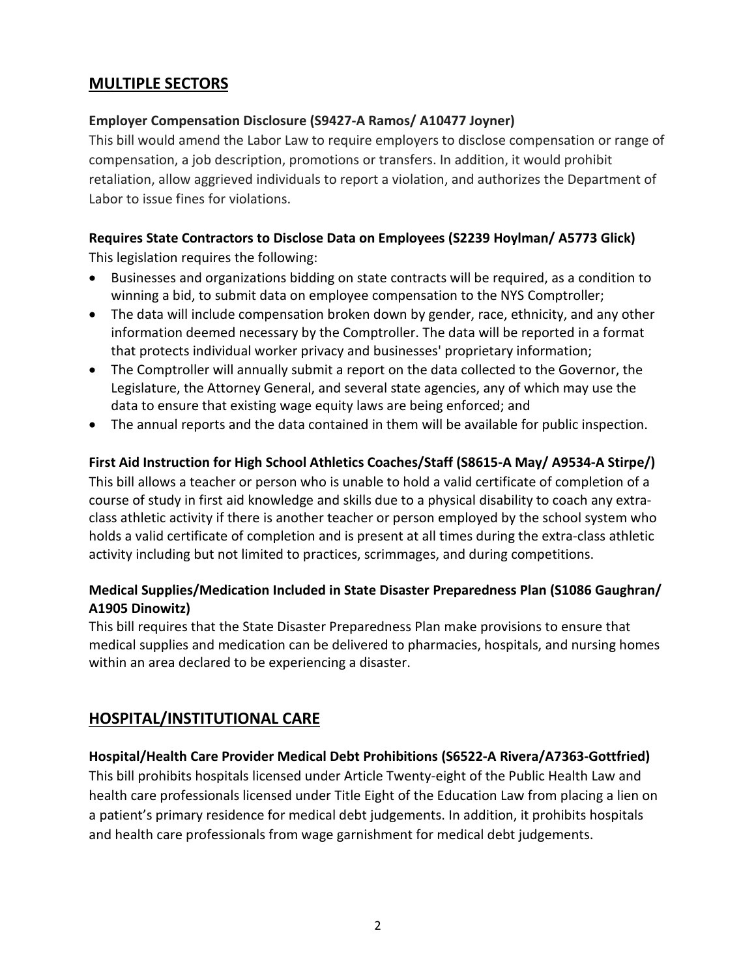# <span id="page-1-0"></span>**MULTIPLE SECTORS**

## **Employer Compensation Disclosure (S9427-A Ramos/ A10477 Joyner)**

This bill would amend the Labor Law to require employers to disclose compensation or range of compensation, a job description, promotions or transfers. In addition, it would prohibit retaliation, allow aggrieved individuals to report a violation, and authorizes the Department of Labor to issue fines for violations.

# **Requires State Contractors to Disclose Data on Employees (S2239 Hoylman/ A5773 Glick)**

This legislation requires the following:

- Businesses and organizations bidding on state contracts will be required, as a condition to winning a bid, to submit data on employee compensation to the NYS Comptroller;
- The data will include compensation broken down by gender, race, ethnicity, and any other information deemed necessary by the Comptroller. The data will be reported in a format that protects individual worker privacy and businesses' proprietary information;
- The Comptroller will annually submit a report on the data collected to the Governor, the Legislature, the Attorney General, and several state agencies, any of which may use the data to ensure that existing wage equity laws are being enforced; and
- The annual reports and the data contained in them will be available for public inspection.

## **First Aid Instruction for High School Athletics Coaches/Staff (S8615-A May/ A9534-A Stirpe/)**

This bill allows a teacher or person who is unable to hold a valid certificate of completion of a course of study in first aid knowledge and skills due to a physical disability to coach any extraclass athletic activity if there is another teacher or person employed by the school system who holds a valid certificate of completion and is present at all times during the extra-class athletic activity including but not limited to practices, scrimmages, and during competitions.

## **Medical Supplies/Medication Included in State Disaster Preparedness Plan (S1086 Gaughran/ A1905 Dinowitz)**

This bill requires that the State Disaster Preparedness Plan make provisions to ensure that medical supplies and medication can be delivered to pharmacies, hospitals, and nursing homes within an area declared to be experiencing a disaster.

# <span id="page-1-1"></span>**HOSPITAL/INSTITUTIONAL CARE**

## **Hospital/Health Care Provider Medical Debt Prohibitions (S6522-A Rivera/A7363-Gottfried)**

This bill prohibits hospitals licensed under Article Twenty-eight of the Public Health Law and health care professionals licensed under Title Eight of the Education Law from placing a lien on a patient's primary residence for medical debt judgements. In addition, it prohibits hospitals and health care professionals from wage garnishment for medical debt judgements.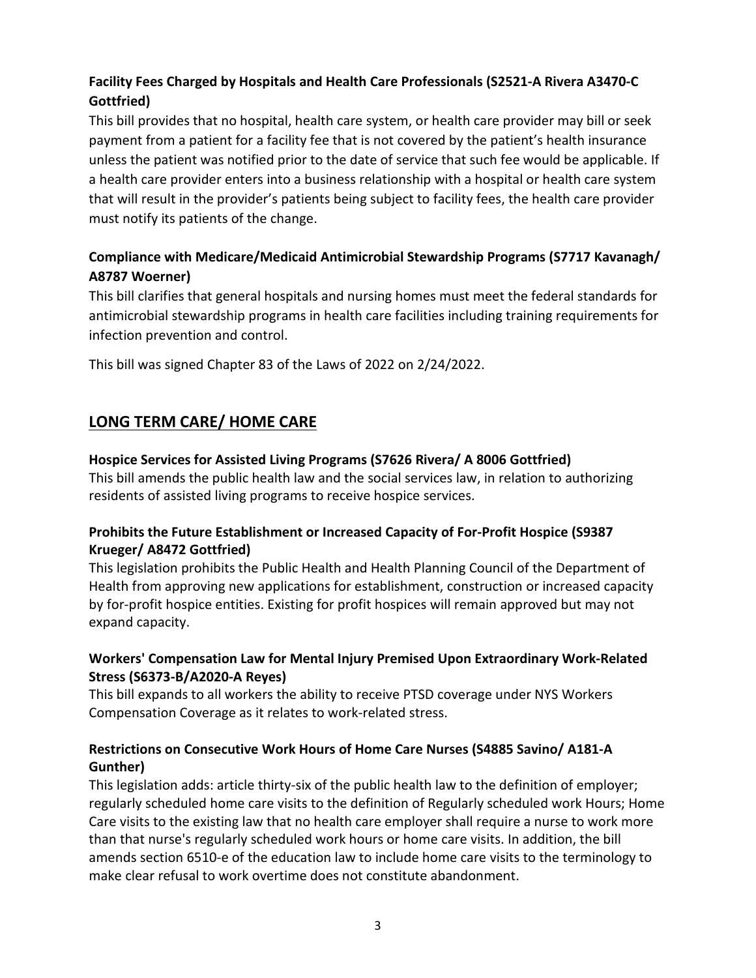# **Facility Fees Charged by Hospitals and Health Care Professionals (S2521-A Rivera A3470-C Gottfried)**

This bill provides that no hospital, health care system, or health care provider may bill or seek payment from a patient for a facility fee that is not covered by the patient's health insurance unless the patient was notified prior to the date of service that such fee would be applicable. If a health care provider enters into a business relationship with a hospital or health care system that will result in the provider's patients being subject to facility fees, the health care provider must notify its patients of the change.

## **Compliance with Medicare/Medicaid Antimicrobial Stewardship Programs (S7717 Kavanagh/ A8787 Woerner)**

This bill clarifies that general hospitals and nursing homes must meet the federal standards for antimicrobial stewardship programs in health care facilities including training requirements for infection prevention and control.

This bill was signed Chapter 83 of the Laws of 2022 on 2/24/2022.

# <span id="page-2-0"></span>**LONG TERM CARE/ HOME CARE**

## **Hospice Services for Assisted Living Programs (S7626 Rivera/ A 8006 Gottfried)**

This bill amends the public health law and the social services law, in relation to authorizing residents of assisted living programs to receive hospice services.

## **Prohibits the Future Establishment or Increased Capacity of For-Profit Hospice (S9387 Krueger/ A8472 Gottfried)**

This legislation prohibits the Public Health and Health Planning Council of the Department of Health from approving new applications for establishment, construction or increased capacity by for-profit hospice entities. Existing for profit hospices will remain approved but may not expand capacity.

## **Workers' Compensation Law for Mental Injury Premised Upon Extraordinary Work-Related Stress (S6373-B/A2020-A Reyes)**

This bill expands to all workers the ability to receive PTSD coverage under NYS Workers Compensation Coverage as it relates to work-related stress.

## **Restrictions on Consecutive Work Hours of Home Care Nurses (S4885 Savino/ A181-A Gunther)**

This legislation adds: article thirty-six of the public health law to the definition of employer; regularly scheduled home care visits to the definition of Regularly scheduled work Hours; Home Care visits to the existing law that no health care employer shall require a nurse to work more than that nurse's regularly scheduled work hours or home care visits. In addition, the bill amends section 6510-e of the education law to include home care visits to the terminology to make clear refusal to work overtime does not constitute abandonment.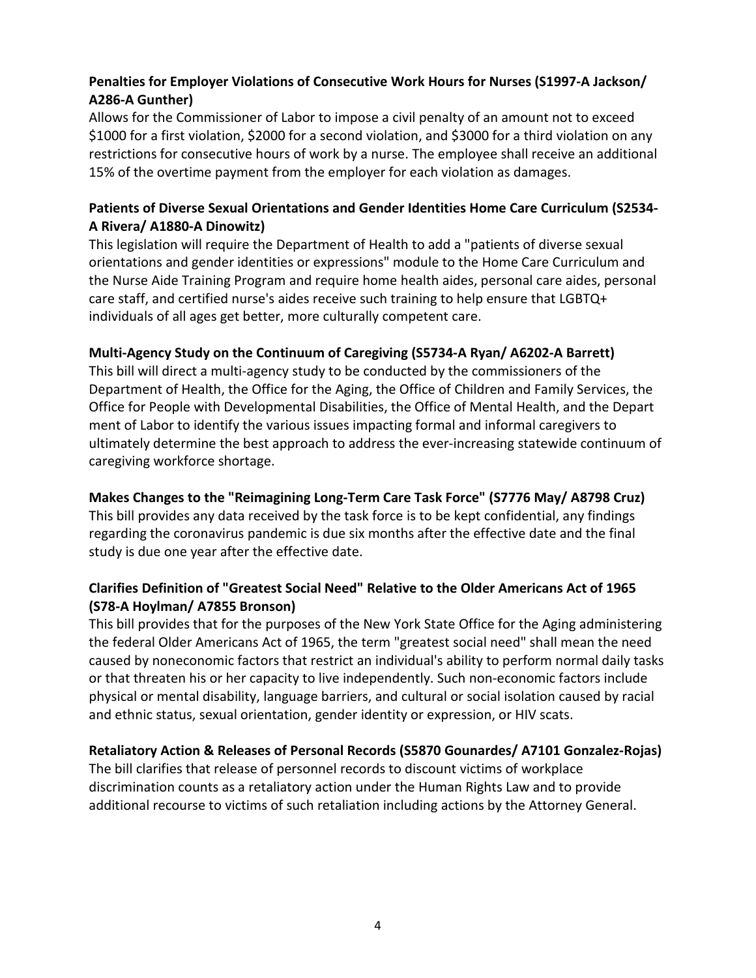## **Penalties for Employer Violations of Consecutive Work Hours for Nurses (S1997-A Jackson/ A286-A Gunther)**

Allows for the Commissioner of Labor to impose a civil penalty of an amount not to exceed \$1000 for a first violation, \$2000 for a second violation, and \$3000 for a third violation on any restrictions for consecutive hours of work by a nurse. The employee shall receive an additional 15% of the overtime payment from the employer for each violation as damages.

#### **Patients of Diverse Sexual Orientations and Gender Identities Home Care Curriculum (S2534- A Rivera/ A1880-A Dinowitz)**

This legislation will require the Department of Health to add a "patients of diverse sexual orientations and gender identities or expressions" module to the Home Care Curriculum and the Nurse Aide Training Program and require home health aides, personal care aides, personal care staff, and certified nurse's aides receive such training to help ensure that LGBTQ+ individuals of all ages get better, more culturally competent care.

#### **Multi-Agency Study on the Continuum of Caregiving (S5734-A Ryan/ A6202-A Barrett)**

This bill will direct a multi-agency study to be conducted by the commissioners of the Department of Health, the Office for the Aging, the Office of Children and Family Services, the Office for People with Developmental Disabilities, the Office of Mental Health, and the Depart ment of Labor to identify the various issues impacting formal and informal caregivers to ultimately determine the best approach to address the ever-increasing statewide continuum of caregiving workforce shortage.

#### **Makes Changes to the "Reimagining Long-Term Care Task Force" (S7776 May/ A8798 Cruz)**

This bill provides any data received by the task force is to be kept confidential, any findings regarding the coronavirus pandemic is due six months after the effective date and the final study is due one year after the effective date.

## **Clarifies Definition of "Greatest Social Need" Relative to the Older Americans Act of 1965 (S78-A Hoylman/ A7855 Bronson)**

This bill provides that for the purposes of the New York State Office for the Aging administering the federal Older Americans Act of 1965, the term "greatest social need" shall mean the need caused by noneconomic factors that restrict an individual's ability to perform normal daily tasks or that threaten his or her capacity to live independently. Such non-economic factors include physical or mental disability, language barriers, and cultural or social isolation caused by racial and ethnic status, sexual orientation, gender identity or expression, or HIV scats.

#### **Retaliatory Action & Releases of Personal Records (S5870 Gounardes/ A7101 Gonzalez-Rojas)**

The bill clarifies that release of personnel records to discount victims of workplace discrimination counts as a retaliatory action under the Human Rights Law and to provide additional recourse to victims of such retaliation including actions by the Attorney General.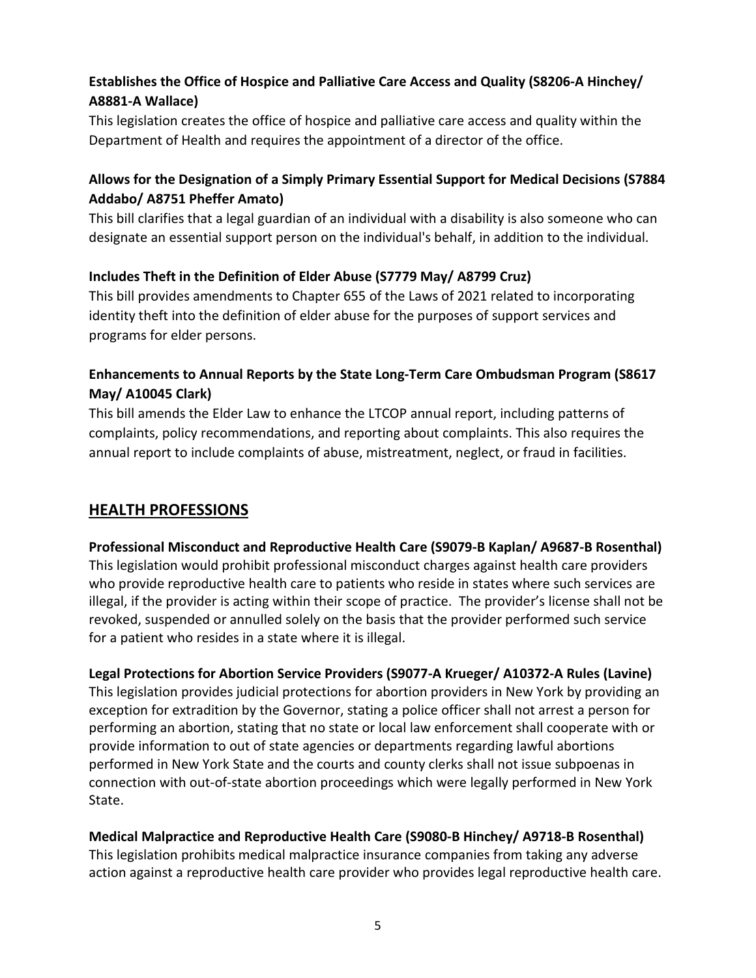# **Establishes the Office of Hospice and Palliative Care Access and Quality (S8206-A Hinchey/ A8881-A Wallace)**

This legislation creates the office of hospice and palliative care access and quality within the Department of Health and requires the appointment of a director of the office.

## **Allows for the Designation of a Simply Primary Essential Support for Medical Decisions (S7884 Addabo/ A8751 Pheffer Amato)**

This bill clarifies that a legal guardian of an individual with a disability is also someone who can designate an essential support person on the individual's behalf, in addition to the individual.

## **Includes Theft in the Definition of Elder Abuse (S7779 May/ A8799 Cruz)**

This bill provides amendments to Chapter 655 of the Laws of 2021 related to incorporating identity theft into the definition of elder abuse for the purposes of support services and programs for elder persons.

## **Enhancements to Annual Reports by the State Long-Term Care Ombudsman Program (S8617 May/ A10045 Clark)**

This bill amends the Elder Law to enhance the LTCOP annual report, including patterns of complaints, policy recommendations, and reporting about complaints. This also requires the annual report to include complaints of abuse, mistreatment, neglect, or fraud in facilities.

## <span id="page-4-0"></span>**HEALTH PROFESSIONS**

## **Professional Misconduct and Reproductive Health Care (S9079-B Kaplan/ A9687-B Rosenthal)** This legislation would prohibit professional misconduct charges against health care providers who provide reproductive health care to patients who reside in states where such services are illegal, if the provider is acting within their scope of practice. The provider's license shall not be revoked, suspended or annulled solely on the basis that the provider performed such service for a patient who resides in a state where it is illegal.

**Legal Protections for Abortion Service Providers (S9077-A Krueger/ A10372-A Rules (Lavine)** This legislation provides judicial protections for abortion providers in New York by providing an exception for extradition by the Governor, stating a police officer shall not arrest a person for performing an abortion, stating that no state or local law enforcement shall cooperate with or provide information to out of state agencies or departments regarding lawful abortions performed in New York State and the courts and county clerks shall not issue subpoenas in connection with out-of-state abortion proceedings which were legally performed in New York State.

#### **Medical Malpractice and Reproductive Health Care (S9080-B Hinchey/ A9718-B Rosenthal)**

This legislation prohibits medical malpractice insurance companies from taking any adverse action against a reproductive health care provider who provides legal reproductive health care.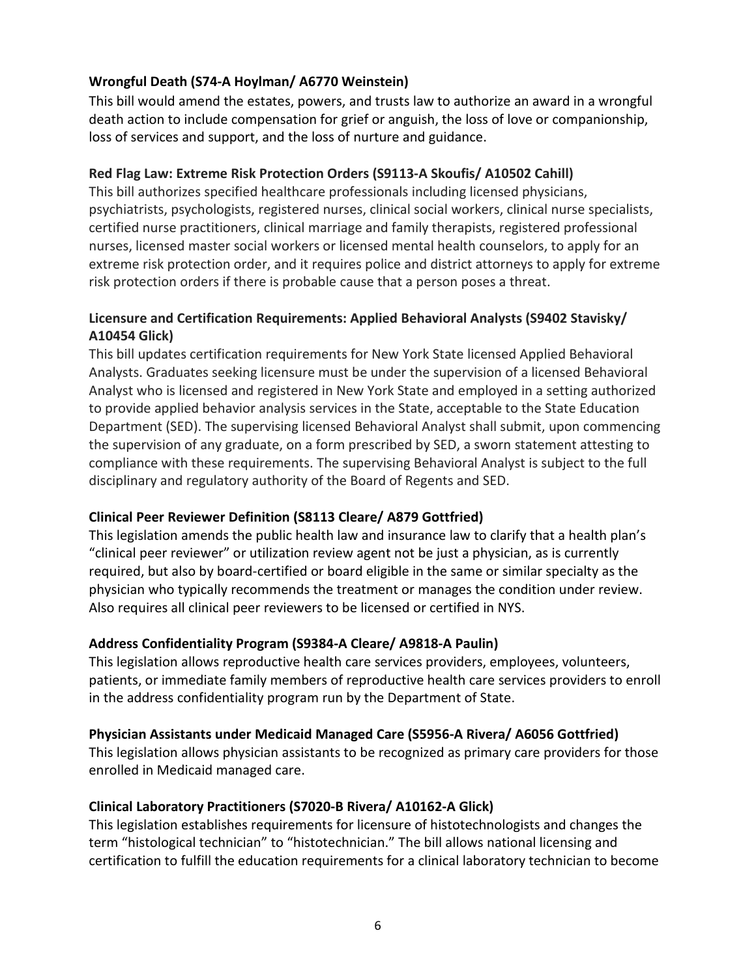## **Wrongful Death (S74-A Hoylman/ A6770 Weinstein)**

This bill would amend the estates, powers, and trusts law to authorize an award in a wrongful death action to include compensation for grief or anguish, the loss of love or companionship, loss of services and support, and the loss of nurture and guidance.

#### **Red Flag Law: Extreme Risk Protection Orders (S9113-A Skoufis/ A10502 Cahill)**

This bill authorizes specified healthcare professionals including licensed physicians, psychiatrists, psychologists, registered nurses, clinical social workers, clinical nurse specialists, certified nurse practitioners, clinical marriage and family therapists, registered professional nurses, licensed master social workers or licensed mental health counselors, to apply for an extreme risk protection order, and it requires police and district attorneys to apply for extreme risk protection orders if there is probable cause that a person poses a threat.

#### **Licensure and Certification Requirements: Applied Behavioral Analysts (S9402 Stavisky/ A10454 Glick)**

This bill updates certification requirements for New York State licensed Applied Behavioral Analysts. Graduates seeking licensure must be under the supervision of a licensed Behavioral Analyst who is licensed and registered in New York State and employed in a setting authorized to provide applied behavior analysis services in the State, acceptable to the State Education Department (SED). The supervising licensed Behavioral Analyst shall submit, upon commencing the supervision of any graduate, on a form prescribed by SED, a sworn statement attesting to compliance with these requirements. The supervising Behavioral Analyst is subject to the full disciplinary and regulatory authority of the Board of Regents and SED.

#### **Clinical Peer Reviewer Definition (S8113 Cleare/ A879 Gottfried)**

This legislation amends the public health law and insurance law to clarify that a health plan's "clinical peer reviewer" or utilization review agent not be just a physician, as is currently required, but also by board-certified or board eligible in the same or similar specialty as the physician who typically recommends the treatment or manages the condition under review. Also requires all clinical peer reviewers to be licensed or certified in NYS.

#### **Address Confidentiality Program (S9384-A Cleare/ A9818-A Paulin)**

This legislation allows reproductive health care services providers, employees, volunteers, patients, or immediate family members of reproductive health care services providers to enroll in the address confidentiality program run by the Department of State.

#### **Physician Assistants under Medicaid Managed Care (S5956-A Rivera/ A6056 Gottfried)**

This legislation allows physician assistants to be recognized as primary care providers for those enrolled in Medicaid managed care.

#### **Clinical Laboratory Practitioners (S7020-B Rivera/ A10162-A Glick)**

This legislation establishes requirements for licensure of histotechnologists and changes the term "histological technician" to "histotechnician." The bill allows national licensing and certification to fulfill the education requirements for a clinical laboratory technician to become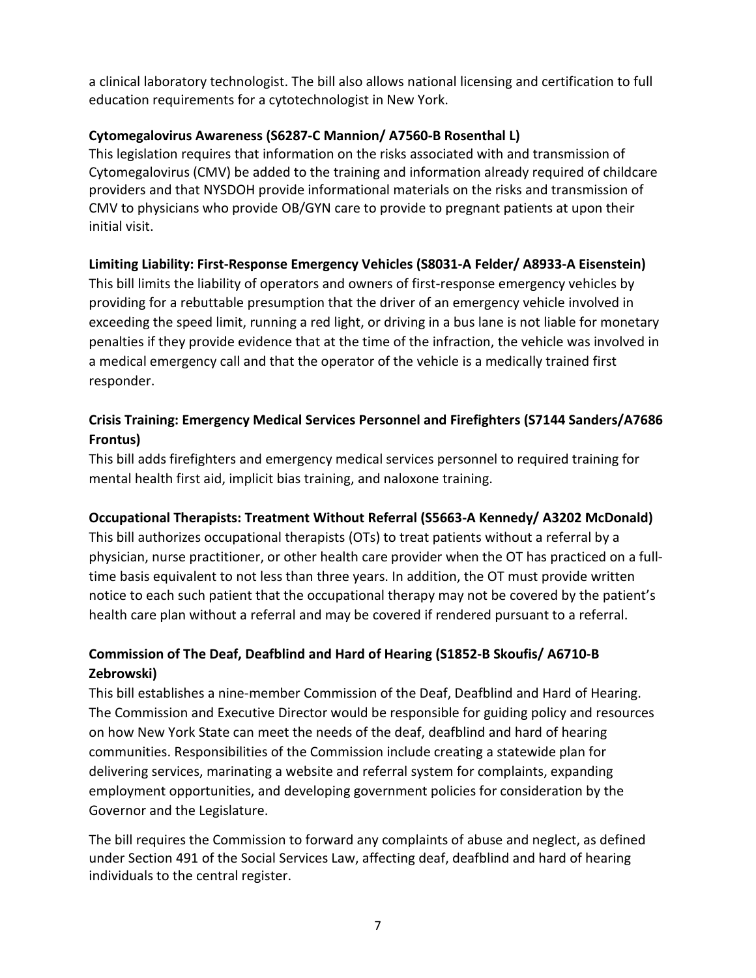a clinical laboratory technologist. The bill also allows national licensing and certification to full education requirements for a cytotechnologist in New York.

#### **Cytomegalovirus Awareness (S6287-C Mannion/ A7560-B Rosenthal L)**

This legislation requires that information on the risks associated with and transmission of Cytomegalovirus (CMV) be added to the training and information already required of childcare providers and that NYSDOH provide informational materials on the risks and transmission of CMV to physicians who provide OB/GYN care to provide to pregnant patients at upon their initial visit.

## **Limiting Liability: First-Response Emergency Vehicles (S8031-A Felder/ A8933-A Eisenstein)**

This bill limits the liability of operators and owners of first-response emergency vehicles by providing for a rebuttable presumption that the driver of an emergency vehicle involved in exceeding the speed limit, running a red light, or driving in a bus lane is not liable for monetary penalties if they provide evidence that at the time of the infraction, the vehicle was involved in a medical emergency call and that the operator of the vehicle is a medically trained first responder.

## **Crisis Training: Emergency Medical Services Personnel and Firefighters (S7144 Sanders/A7686 Frontus)**

This bill adds firefighters and emergency medical services personnel to required training for mental health first aid, implicit bias training, and naloxone training.

#### **Occupational Therapists: Treatment Without Referral (S5663-A Kennedy/ A3202 McDonald)**

This bill authorizes occupational therapists (OTs) to treat patients without a referral by a physician, nurse practitioner, or other health care provider when the OT has practiced on a fulltime basis equivalent to not less than three years. In addition, the OT must provide written notice to each such patient that the occupational therapy may not be covered by the patient's health care plan without a referral and may be covered if rendered pursuant to a referral.

## **Commission of The Deaf, Deafblind and Hard of Hearing (S1852-B Skoufis/ A6710-B Zebrowski)**

This bill establishes a nine-member Commission of the Deaf, Deafblind and Hard of Hearing. The Commission and Executive Director would be responsible for guiding policy and resources on how New York State can meet the needs of the deaf, deafblind and hard of hearing communities. Responsibilities of the Commission include creating a statewide plan for delivering services, marinating a website and referral system for complaints, expanding employment opportunities, and developing government policies for consideration by the Governor and the Legislature.

The bill requires the Commission to forward any complaints of abuse and neglect, as defined under Section 491 of the Social Services Law, affecting deaf, deafblind and hard of hearing individuals to the central register.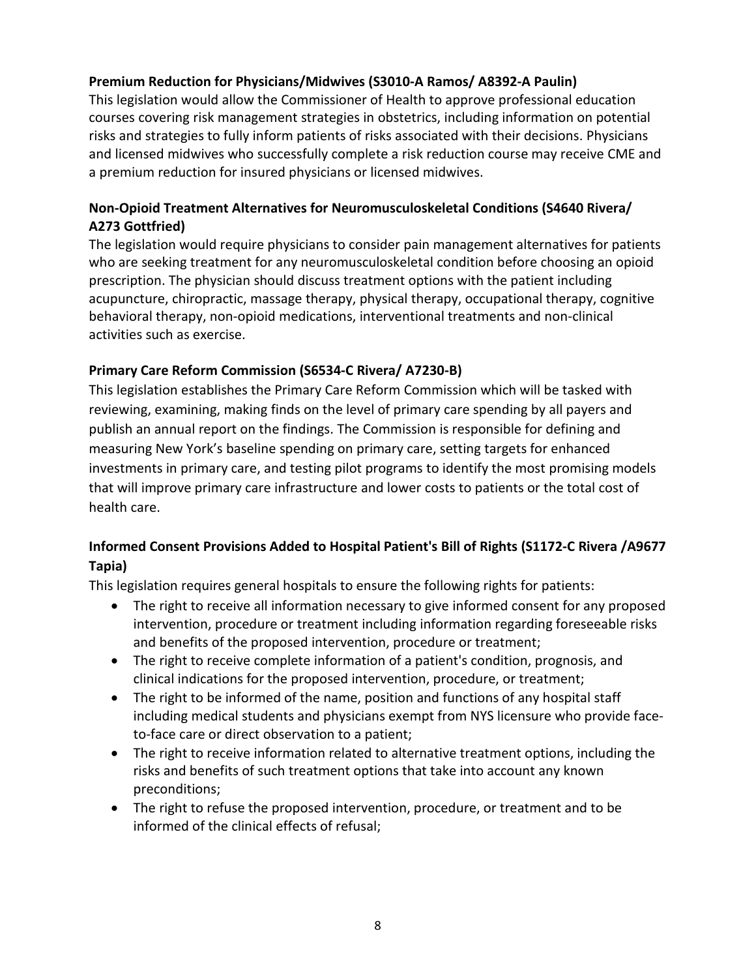## **Premium Reduction for Physicians/Midwives (S3010-A Ramos/ A8392-A Paulin)**

This legislation would allow the Commissioner of Health to approve professional education courses covering risk management strategies in obstetrics, including information on potential risks and strategies to fully inform patients of risks associated with their decisions. Physicians and licensed midwives who successfully complete a risk reduction course may receive CME and a premium reduction for insured physicians or licensed midwives.

## **Non-Opioid Treatment Alternatives for Neuromusculoskeletal Conditions (S4640 Rivera/ A273 Gottfried)**

The legislation would require physicians to consider pain management alternatives for patients who are seeking treatment for any neuromusculoskeletal condition before choosing an opioid prescription. The physician should discuss treatment options with the patient including acupuncture, chiropractic, massage therapy, physical therapy, occupational therapy, cognitive behavioral therapy, non-opioid medications, interventional treatments and non-clinical activities such as exercise.

## **Primary Care Reform Commission (S6534-C Rivera/ A7230-B)**

This legislation establishes the Primary Care Reform Commission which will be tasked with reviewing, examining, making finds on the level of primary care spending by all payers and publish an annual report on the findings. The Commission is responsible for defining and measuring New York's baseline spending on primary care, setting targets for enhanced investments in primary care, and testing pilot programs to identify the most promising models that will improve primary care infrastructure and lower costs to patients or the total cost of health care.

## **Informed Consent Provisions Added to Hospital Patient's Bill of Rights (S1172-C Rivera /A9677 Tapia)**

This legislation requires general hospitals to ensure the following rights for patients:

- The right to receive all information necessary to give informed consent for any proposed intervention, procedure or treatment including information regarding foreseeable risks and benefits of the proposed intervention, procedure or treatment;
- The right to receive complete information of a patient's condition, prognosis, and clinical indications for the proposed intervention, procedure, or treatment;
- The right to be informed of the name, position and functions of any hospital staff including medical students and physicians exempt from NYS licensure who provide faceto-face care or direct observation to a patient;
- The right to receive information related to alternative treatment options, including the risks and benefits of such treatment options that take into account any known preconditions;
- The right to refuse the proposed intervention, procedure, or treatment and to be informed of the clinical effects of refusal;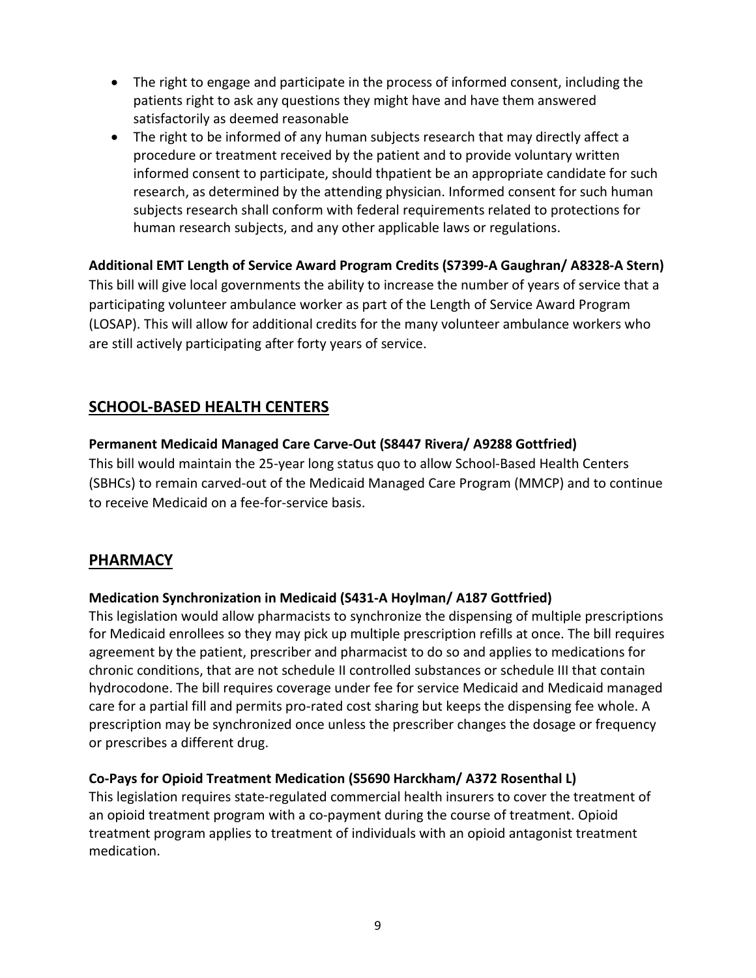- The right to engage and participate in the process of informed consent, including the patients right to ask any questions they might have and have them answered satisfactorily as deemed reasonable
- The right to be informed of any human subjects research that may directly affect a procedure or treatment received by the patient and to provide voluntary written informed consent to participate, should thpatient be an appropriate candidate for such research, as determined by the attending physician. Informed consent for such human subjects research shall conform with federal requirements related to protections for human research subjects, and any other applicable laws or regulations.

## **Additional EMT Length of Service Award Program Credits (S7399-A Gaughran/ A8328-A Stern)** This bill will give local governments the ability to increase the number of years of service that a participating volunteer ambulance worker as part of the Length of Service Award Program (LOSAP). This will allow for additional credits for the many volunteer ambulance workers who are still actively participating after forty years of service.

# <span id="page-8-0"></span>**SCHOOL-BASED HEALTH CENTERS**

## **Permanent Medicaid Managed Care Carve-Out (S8447 Rivera/ A9288 Gottfried)**

This bill would maintain the 25-year long status quo to allow School-Based Health Centers (SBHCs) to remain carved-out of the Medicaid Managed Care Program (MMCP) and to continue to receive Medicaid on a fee-for-service basis.

# <span id="page-8-1"></span>**PHARMACY**

## **Medication Synchronization in Medicaid (S431-A Hoylman/ A187 Gottfried)**

This legislation would allow pharmacists to synchronize the dispensing of multiple prescriptions for Medicaid enrollees so they may pick up multiple prescription refills at once. The bill requires agreement by the patient, prescriber and pharmacist to do so and applies to medications for chronic conditions, that are not schedule II controlled substances or schedule III that contain hydrocodone. The bill requires coverage under fee for service Medicaid and Medicaid managed care for a partial fill and permits pro-rated cost sharing but keeps the dispensing fee whole. A prescription may be synchronized once unless the prescriber changes the dosage or frequency or prescribes a different drug.

#### **Co-Pays for Opioid Treatment Medication (S5690 Harckham/ A372 Rosenthal L)**

This legislation requires state-regulated commercial health insurers to cover the treatment of an opioid treatment program with a co-payment during the course of treatment. Opioid treatment program applies to treatment of individuals with an opioid antagonist treatment medication.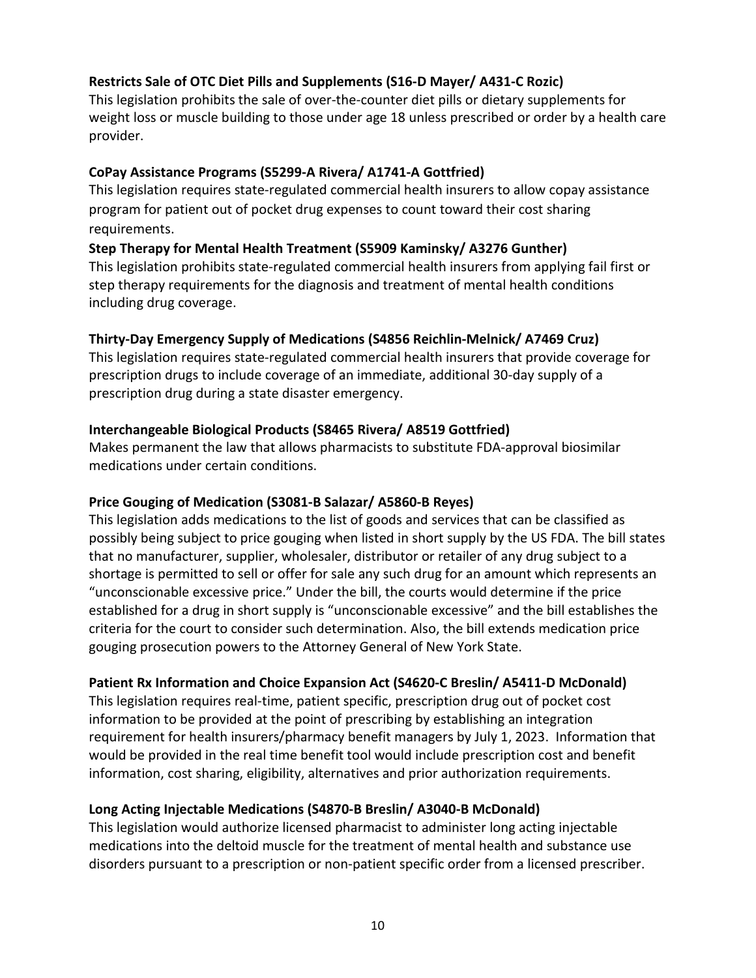## **Restricts Sale of OTC Diet Pills and Supplements (S16-D Mayer/ A431-C Rozic)**

This legislation prohibits the sale of over-the-counter diet pills or dietary supplements for weight loss or muscle building to those under age 18 unless prescribed or order by a health care provider.

#### **CoPay Assistance Programs (S5299-A Rivera/ A1741-A Gottfried)**

This legislation requires state-regulated commercial health insurers to allow copay assistance program for patient out of pocket drug expenses to count toward their cost sharing requirements.

#### **Step Therapy for Mental Health Treatment (S5909 Kaminsky/ A3276 Gunther)**

This legislation prohibits state-regulated commercial health insurers from applying fail first or step therapy requirements for the diagnosis and treatment of mental health conditions including drug coverage.

#### **Thirty-Day Emergency Supply of Medications (S4856 Reichlin-Melnick/ A7469 Cruz)**

This legislation requires state-regulated commercial health insurers that provide coverage for prescription drugs to include coverage of an immediate, additional 30-day supply of a prescription drug during a state disaster emergency.

#### **Interchangeable Biological Products (S8465 Rivera/ A8519 Gottfried)**

Makes permanent the law that allows pharmacists to substitute FDA-approval biosimilar medications under certain conditions.

#### **Price Gouging of Medication (S3081-B Salazar/ A5860-B Reyes)**

This legislation adds medications to the list of goods and services that can be classified as possibly being subject to price gouging when listed in short supply by the US FDA. The bill states that no manufacturer, supplier, wholesaler, distributor or retailer of any drug subject to a shortage is permitted to sell or offer for sale any such drug for an amount which represents an "unconscionable excessive price." Under the bill, the courts would determine if the price established for a drug in short supply is "unconscionable excessive" and the bill establishes the criteria for the court to consider such determination. Also, the bill extends medication price gouging prosecution powers to the Attorney General of New York State.

#### **Patient Rx Information and Choice Expansion Act (S4620-C Breslin/ A5411-D McDonald)**

This legislation requires real-time, patient specific, prescription drug out of pocket cost information to be provided at the point of prescribing by establishing an integration requirement for health insurers/pharmacy benefit managers by July 1, 2023. Information that would be provided in the real time benefit tool would include prescription cost and benefit information, cost sharing, eligibility, alternatives and prior authorization requirements.

#### **Long Acting Injectable Medications (S4870-B Breslin/ A3040-B McDonald)**

This legislation would authorize licensed pharmacist to administer long acting injectable medications into the deltoid muscle for the treatment of mental health and substance use disorders pursuant to a prescription or non-patient specific order from a licensed prescriber.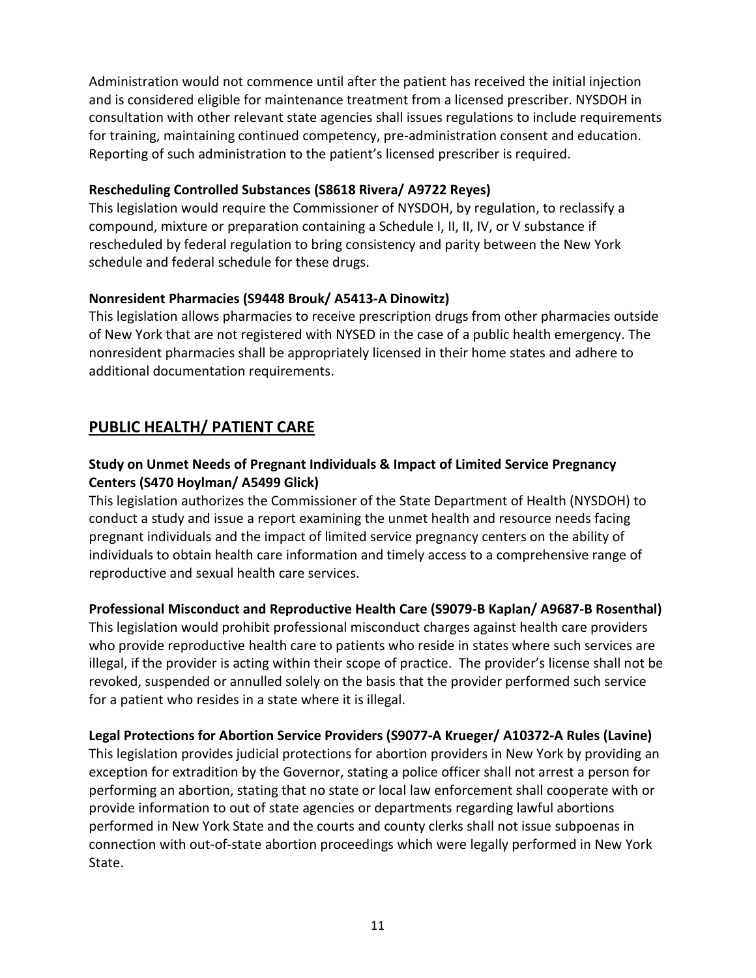Administration would not commence until after the patient has received the initial injection and is considered eligible for maintenance treatment from a licensed prescriber. NYSDOH in consultation with other relevant state agencies shall issues regulations to include requirements for training, maintaining continued competency, pre-administration consent and education. Reporting of such administration to the patient's licensed prescriber is required.

#### **Rescheduling Controlled Substances (S8618 Rivera/ A9722 Reyes)**

This legislation would require the Commissioner of NYSDOH, by regulation, to reclassify a compound, mixture or preparation containing a Schedule I, II, II, IV, or V substance if rescheduled by federal regulation to bring consistency and parity between the New York schedule and federal schedule for these drugs.

#### **Nonresident Pharmacies (S9448 Brouk/ A5413-A Dinowitz)**

This legislation allows pharmacies to receive prescription drugs from other pharmacies outside of New York that are not registered with NYSED in the case of a public health emergency. The nonresident pharmacies shall be appropriately licensed in their home states and adhere to additional documentation requirements.

# <span id="page-10-0"></span>**PUBLIC HEALTH/ PATIENT CARE**

## **Study on Unmet Needs of Pregnant Individuals & Impact of Limited Service Pregnancy Centers (S470 Hoylman/ A5499 Glick)**

This legislation authorizes the Commissioner of the State Department of Health (NYSDOH) to conduct a study and issue a report examining the unmet health and resource needs facing pregnant individuals and the impact of limited service pregnancy centers on the ability of individuals to obtain health care information and timely access to a comprehensive range of reproductive and sexual health care services.

#### **Professional Misconduct and Reproductive Health Care (S9079-B Kaplan/ A9687-B Rosenthal)**

This legislation would prohibit professional misconduct charges against health care providers who provide reproductive health care to patients who reside in states where such services are illegal, if the provider is acting within their scope of practice. The provider's license shall not be revoked, suspended or annulled solely on the basis that the provider performed such service for a patient who resides in a state where it is illegal.

#### **Legal Protections for Abortion Service Providers (S9077-A Krueger/ A10372-A Rules (Lavine)**

This legislation provides judicial protections for abortion providers in New York by providing an exception for extradition by the Governor, stating a police officer shall not arrest a person for performing an abortion, stating that no state or local law enforcement shall cooperate with or provide information to out of state agencies or departments regarding lawful abortions performed in New York State and the courts and county clerks shall not issue subpoenas in connection with out-of-state abortion proceedings which were legally performed in New York State.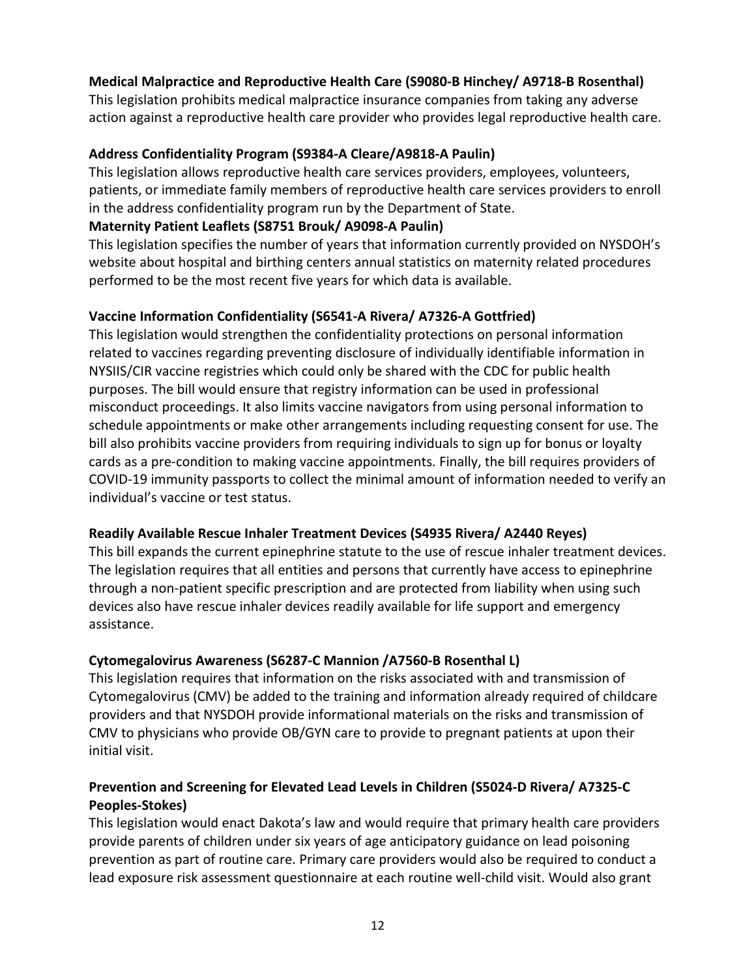#### **Medical Malpractice and Reproductive Health Care (S9080-B Hinchey/ A9718-B Rosenthal)**

This legislation prohibits medical malpractice insurance companies from taking any adverse action against a reproductive health care provider who provides legal reproductive health care.

#### **Address Confidentiality Program (S9384-A Cleare/A9818-A Paulin)**

This legislation allows reproductive health care services providers, employees, volunteers, patients, or immediate family members of reproductive health care services providers to enroll in the address confidentiality program run by the Department of State.

#### **Maternity Patient Leaflets (S8751 Brouk/ A9098-A Paulin)**

This legislation specifies the number of years that information currently provided on NYSDOH's website about hospital and birthing centers annual statistics on maternity related procedures performed to be the most recent five years for which data is available.

## **Vaccine Information Confidentiality (S6541-A Rivera/ A7326-A Gottfried)**

This legislation would strengthen the confidentiality protections on personal information related to vaccines regarding preventing disclosure of individually identifiable information in NYSIIS/CIR vaccine registries which could only be shared with the CDC for public health purposes. The bill would ensure that registry information can be used in professional misconduct proceedings. It also limits vaccine navigators from using personal information to schedule appointments or make other arrangements including requesting consent for use. The bill also prohibits vaccine providers from requiring individuals to sign up for bonus or loyalty cards as a pre-condition to making vaccine appointments. Finally, the bill requires providers of COVID-19 immunity passports to collect the minimal amount of information needed to verify an individual's vaccine or test status.

#### **Readily Available Rescue Inhaler Treatment Devices (S4935 Rivera/ A2440 Reyes)**

This bill expands the current epinephrine statute to the use of rescue inhaler treatment devices. The legislation requires that all entities and persons that currently have access to epinephrine through a non-patient specific prescription and are protected from liability when using such devices also have rescue inhaler devices readily available for life support and emergency assistance.

#### **Cytomegalovirus Awareness (S6287-C Mannion /A7560-B Rosenthal L)**

This legislation requires that information on the risks associated with and transmission of Cytomegalovirus (CMV) be added to the training and information already required of childcare providers and that NYSDOH provide informational materials on the risks and transmission of CMV to physicians who provide OB/GYN care to provide to pregnant patients at upon their initial visit.

## **Prevention and Screening for Elevated Lead Levels in Children (S5024-D Rivera/ A7325-C Peoples-Stokes)**

This legislation would enact Dakota's law and would require that primary health care providers provide parents of children under six years of age anticipatory guidance on lead poisoning prevention as part of routine care. Primary care providers would also be required to conduct a lead exposure risk assessment questionnaire at each routine well-child visit. Would also grant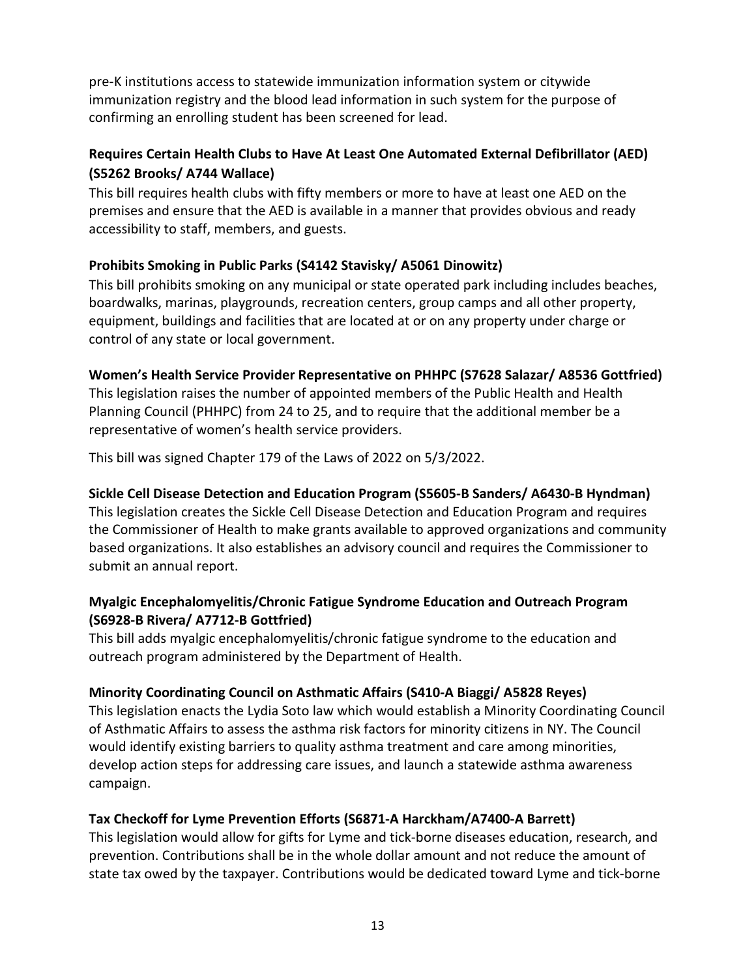pre-K institutions access to statewide immunization information system or citywide immunization registry and the blood lead information in such system for the purpose of confirming an enrolling student has been screened for lead.

## **Requires Certain Health Clubs to Have At Least One Automated External Defibrillator (AED) (S5262 Brooks/ A744 Wallace)**

This bill requires health clubs with fifty members or more to have at least one AED on the premises and ensure that the AED is available in a manner that provides obvious and ready accessibility to staff, members, and guests.

## **Prohibits Smoking in Public Parks (S4142 Stavisky/ A5061 Dinowitz)**

This bill prohibits smoking on any municipal or state operated park including includes beaches, boardwalks, marinas, playgrounds, recreation centers, group camps and all other property, equipment, buildings and facilities that are located at or on any property under charge or control of any state or local government.

## **Women's Health Service Provider Representative on PHHPC (S7628 Salazar/ A8536 Gottfried)**

This legislation raises the number of appointed members of the Public Health and Health Planning Council (PHHPC) from 24 to 25, and to require that the additional member be a representative of women's health service providers.

This bill was signed Chapter 179 of the Laws of 2022 on 5/3/2022.

## **Sickle Cell Disease Detection and Education Program (S5605-B Sanders/ A6430-B Hyndman)**

This legislation creates the Sickle Cell Disease Detection and Education Program and requires the Commissioner of Health to make grants available to approved organizations and community based organizations. It also establishes an advisory council and requires the Commissioner to submit an annual report.

## **Myalgic Encephalomyelitis/Chronic Fatigue Syndrome Education and Outreach Program (S6928-B Rivera/ A7712-B Gottfried)**

This bill adds myalgic encephalomyelitis/chronic fatigue syndrome to the education and outreach program administered by the Department of Health.

#### **Minority Coordinating Council on Asthmatic Affairs (S410-A Biaggi/ A5828 Reyes)**

This legislation enacts the Lydia Soto law which would establish a Minority Coordinating Council of Asthmatic Affairs to assess the asthma risk factors for minority citizens in NY. The Council would identify existing barriers to quality asthma treatment and care among minorities, develop action steps for addressing care issues, and launch a statewide asthma awareness campaign.

## **Tax Checkoff for Lyme Prevention Efforts (S6871-A Harckham/A7400-A Barrett)**

This legislation would allow for gifts for Lyme and tick-borne diseases education, research, and prevention. Contributions shall be in the whole dollar amount and not reduce the amount of state tax owed by the taxpayer. Contributions would be dedicated toward Lyme and tick-borne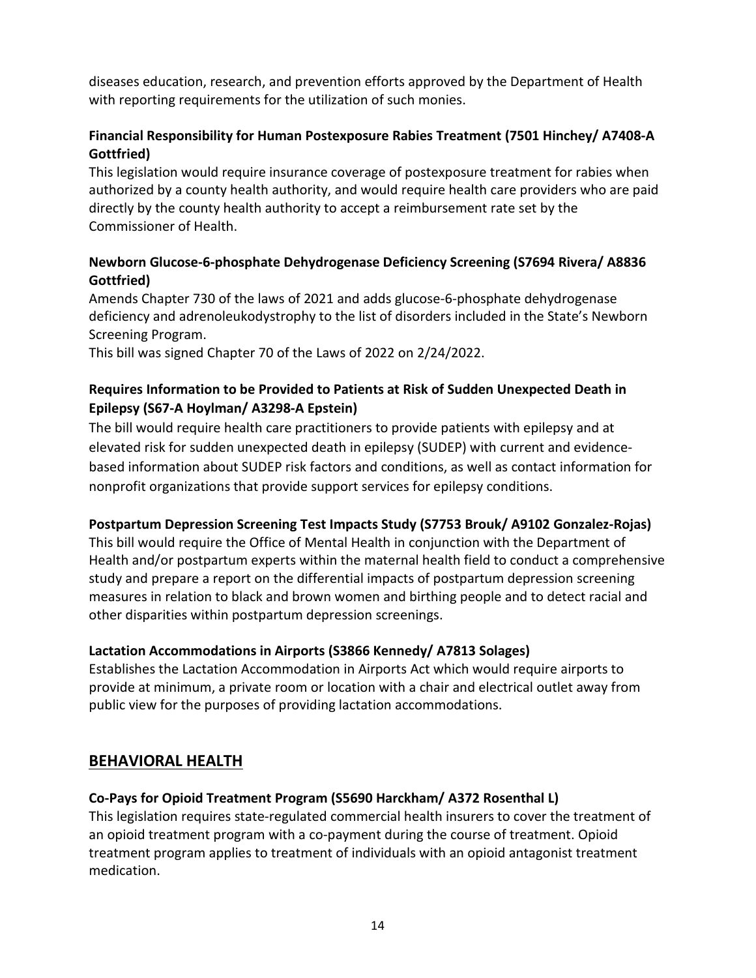diseases education, research, and prevention efforts approved by the Department of Health with reporting requirements for the utilization of such monies.

## **Financial Responsibility for Human Postexposure Rabies Treatment (7501 Hinchey/ A7408-A Gottfried)**

This legislation would require insurance coverage of postexposure treatment for rabies when authorized by a county health authority, and would require health care providers who are paid directly by the county health authority to accept a reimbursement rate set by the Commissioner of Health.

## **Newborn Glucose-6-phosphate Dehydrogenase Deficiency Screening (S7694 Rivera/ A8836 Gottfried)**

Amends Chapter 730 of the laws of 2021 and adds glucose-6-phosphate dehydrogenase deficiency and adrenoleukodystrophy to the list of disorders included in the State's Newborn Screening Program.

This bill was signed Chapter 70 of the Laws of 2022 on 2/24/2022.

## **Requires Information to be Provided to Patients at Risk of Sudden Unexpected Death in Epilepsy (S67-A Hoylman/ A3298-A Epstein)**

The bill would require health care practitioners to provide patients with epilepsy and at elevated risk for sudden unexpected death in epilepsy (SUDEP) with current and evidencebased information about SUDEP risk factors and conditions, as well as contact information for nonprofit organizations that provide support services for epilepsy conditions.

#### **Postpartum Depression Screening Test Impacts Study (S7753 Brouk/ A9102 Gonzalez-Rojas)**

This bill would require the Office of Mental Health in conjunction with the Department of Health and/or postpartum experts within the maternal health field to conduct a comprehensive study and prepare a report on the differential impacts of postpartum depression screening measures in relation to black and brown women and birthing people and to detect racial and other disparities within postpartum depression screenings.

## **Lactation Accommodations in Airports (S3866 Kennedy/ A7813 Solages)**

Establishes the Lactation Accommodation in Airports Act which would require airports to provide at minimum, a private room or location with a chair and electrical outlet away from public view for the purposes of providing lactation accommodations.

# <span id="page-13-0"></span>**BEHAVIORAL HEALTH**

## **Co-Pays for Opioid Treatment Program (S5690 Harckham/ A372 Rosenthal L)**

This legislation requires state-regulated commercial health insurers to cover the treatment of an opioid treatment program with a co-payment during the course of treatment. Opioid treatment program applies to treatment of individuals with an opioid antagonist treatment medication.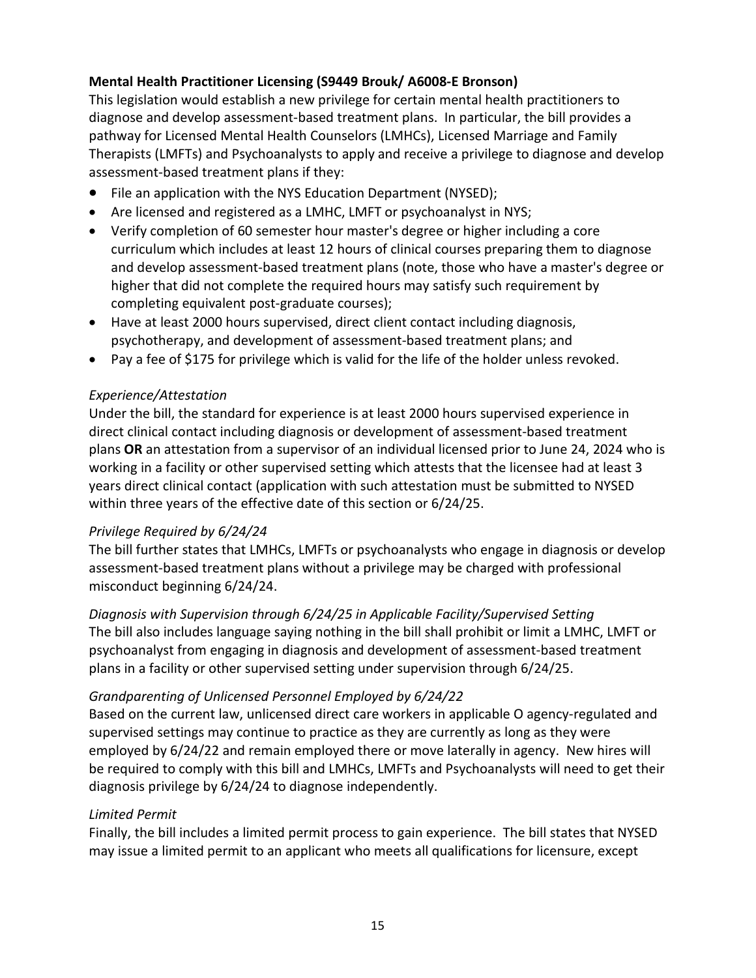## **Mental Health Practitioner Licensing (S9449 Brouk/ A6008-E Bronson)**

This legislation would establish a new privilege for certain mental health practitioners to diagnose and develop assessment-based treatment plans. In particular, the bill provides a pathway for Licensed Mental Health Counselors (LMHCs), Licensed Marriage and Family Therapists (LMFTs) and Psychoanalysts to apply and receive a privilege to diagnose and develop assessment-based treatment plans if they:

- File an application with the NYS Education Department (NYSED);
- Are licensed and registered as a LMHC, LMFT or psychoanalyst in NYS;
- Verify completion of 60 semester hour master's degree or higher including a core curriculum which includes at least 12 hours of clinical courses preparing them to diagnose and develop assessment-based treatment plans (note, those who have a master's degree or higher that did not complete the required hours may satisfy such requirement by completing equivalent post-graduate courses);
- Have at least 2000 hours supervised, direct client contact including diagnosis, psychotherapy, and development of assessment-based treatment plans; and
- Pay a fee of \$175 for privilege which is valid for the life of the holder unless revoked.

#### *Experience/Attestation*

Under the bill, the standard for experience is at least 2000 hours supervised experience in direct clinical contact including diagnosis or development of assessment-based treatment plans **OR** an attestation from a supervisor of an individual licensed prior to June 24, 2024 who is working in a facility or other supervised setting which attests that the licensee had at least 3 years direct clinical contact (application with such attestation must be submitted to NYSED within three years of the effective date of this section or 6/24/25.

#### *Privilege Required by 6/24/24*

The bill further states that LMHCs, LMFTs or psychoanalysts who engage in diagnosis or develop assessment-based treatment plans without a privilege may be charged with professional misconduct beginning 6/24/24.

*Diagnosis with Supervision through 6/24/25 in Applicable Facility/Supervised Setting* The bill also includes language saying nothing in the bill shall prohibit or limit a LMHC, LMFT or psychoanalyst from engaging in diagnosis and development of assessment-based treatment plans in a facility or other supervised setting under supervision through 6/24/25.

#### *Grandparenting of Unlicensed Personnel Employed by 6/24/22*

Based on the current law, unlicensed direct care workers in applicable O agency-regulated and supervised settings may continue to practice as they are currently as long as they were employed by 6/24/22 and remain employed there or move laterally in agency. New hires will be required to comply with this bill and LMHCs, LMFTs and Psychoanalysts will need to get their diagnosis privilege by 6/24/24 to diagnose independently.

#### *Limited Permit*

Finally, the bill includes a limited permit process to gain experience. The bill states that NYSED may issue a limited permit to an applicant who meets all qualifications for licensure, except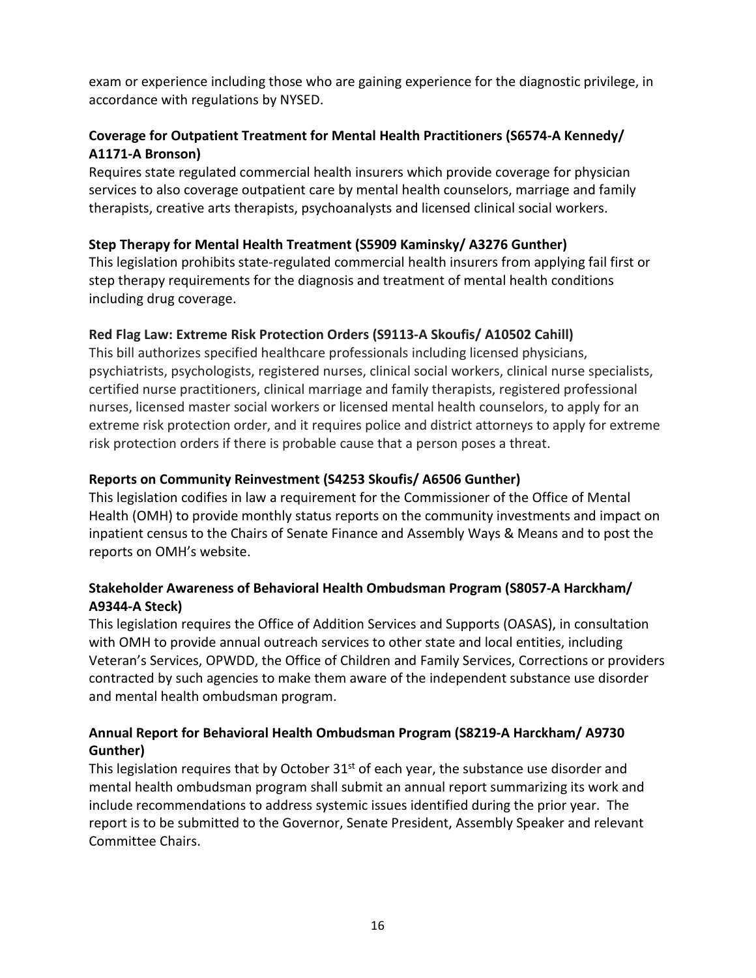exam or experience including those who are gaining experience for the diagnostic privilege, in accordance with regulations by NYSED.

## **Coverage for Outpatient Treatment for Mental Health Practitioners (S6574-A Kennedy/ A1171-A Bronson)**

Requires state regulated commercial health insurers which provide coverage for physician services to also coverage outpatient care by mental health counselors, marriage and family therapists, creative arts therapists, psychoanalysts and licensed clinical social workers.

## **Step Therapy for Mental Health Treatment (S5909 Kaminsky/ A3276 Gunther)**

This legislation prohibits state-regulated commercial health insurers from applying fail first or step therapy requirements for the diagnosis and treatment of mental health conditions including drug coverage.

## **Red Flag Law: Extreme Risk Protection Orders (S9113-A Skoufis/ A10502 Cahill)**

This bill authorizes specified healthcare professionals including licensed physicians, psychiatrists, psychologists, registered nurses, clinical social workers, clinical nurse specialists, certified nurse practitioners, clinical marriage and family therapists, registered professional nurses, licensed master social workers or licensed mental health counselors, to apply for an extreme risk protection order, and it requires police and district attorneys to apply for extreme risk protection orders if there is probable cause that a person poses a threat.

## **Reports on Community Reinvestment (S4253 Skoufis/ A6506 Gunther)**

This legislation codifies in law a requirement for the Commissioner of the Office of Mental Health (OMH) to provide monthly status reports on the community investments and impact on inpatient census to the Chairs of Senate Finance and Assembly Ways & Means and to post the reports on OMH's website.

## **Stakeholder Awareness of Behavioral Health Ombudsman Program (S8057-A Harckham/ A9344-A Steck)**

This legislation requires the Office of Addition Services and Supports (OASAS), in consultation with OMH to provide annual outreach services to other state and local entities, including Veteran's Services, OPWDD, the Office of Children and Family Services, Corrections or providers contracted by such agencies to make them aware of the independent substance use disorder and mental health ombudsman program.

## **Annual Report for Behavioral Health Ombudsman Program (S8219-A Harckham/ A9730 Gunther)**

This legislation requires that by October  $31<sup>st</sup>$  of each year, the substance use disorder and mental health ombudsman program shall submit an annual report summarizing its work and include recommendations to address systemic issues identified during the prior year. The report is to be submitted to the Governor, Senate President, Assembly Speaker and relevant Committee Chairs.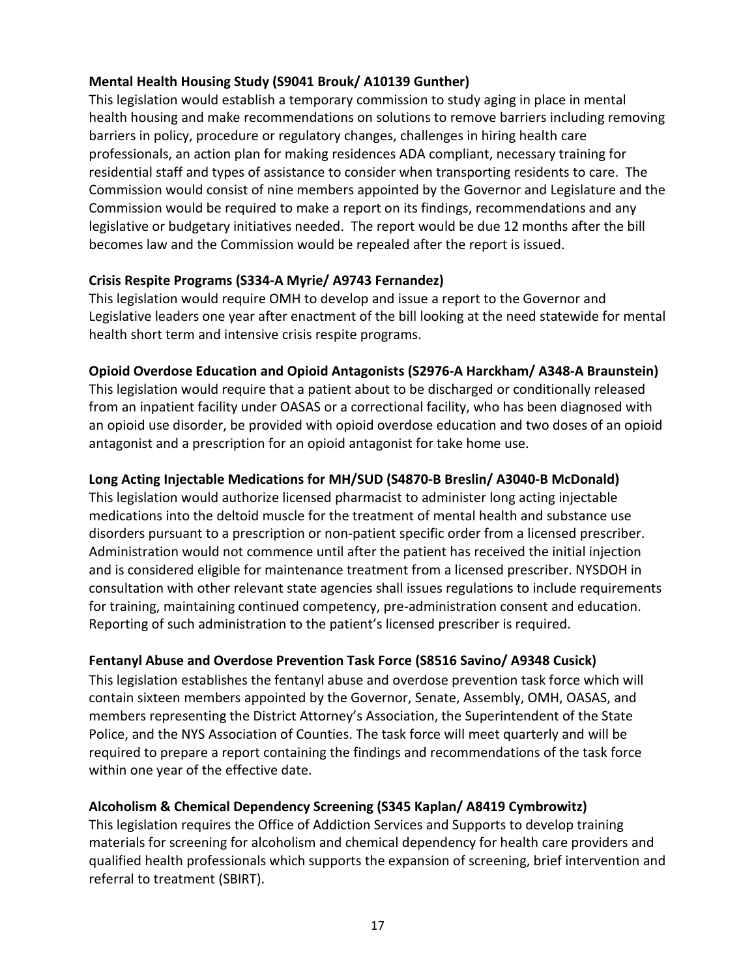#### **Mental Health Housing Study (S9041 Brouk/ A10139 Gunther)**

This legislation would establish a temporary commission to study aging in place in mental health housing and make recommendations on solutions to remove barriers including removing barriers in policy, procedure or regulatory changes, challenges in hiring health care professionals, an action plan for making residences ADA compliant, necessary training for residential staff and types of assistance to consider when transporting residents to care. The Commission would consist of nine members appointed by the Governor and Legislature and the Commission would be required to make a report on its findings, recommendations and any legislative or budgetary initiatives needed. The report would be due 12 months after the bill becomes law and the Commission would be repealed after the report is issued.

## **Crisis Respite Programs (S334-A Myrie/ A9743 Fernandez)**

This legislation would require OMH to develop and issue a report to the Governor and Legislative leaders one year after enactment of the bill looking at the need statewide for mental health short term and intensive crisis respite programs.

## **Opioid Overdose Education and Opioid Antagonists (S2976-A Harckham/ A348-A Braunstein)**

This legislation would require that a patient about to be discharged or conditionally released from an inpatient facility under OASAS or a correctional facility, who has been diagnosed with an opioid use disorder, be provided with opioid overdose education and two doses of an opioid antagonist and a prescription for an opioid antagonist for take home use.

## **Long Acting Injectable Medications for MH/SUD (S4870-B Breslin/ A3040-B McDonald)**

This legislation would authorize licensed pharmacist to administer long acting injectable medications into the deltoid muscle for the treatment of mental health and substance use disorders pursuant to a prescription or non-patient specific order from a licensed prescriber. Administration would not commence until after the patient has received the initial injection and is considered eligible for maintenance treatment from a licensed prescriber. NYSDOH in consultation with other relevant state agencies shall issues regulations to include requirements for training, maintaining continued competency, pre-administration consent and education. Reporting of such administration to the patient's licensed prescriber is required.

## **Fentanyl Abuse and Overdose Prevention Task Force (S8516 Savino/ A9348 Cusick)**

This legislation establishes the fentanyl abuse and overdose prevention task force which will contain sixteen members appointed by the Governor, Senate, Assembly, OMH, OASAS, and members representing the District Attorney's Association, the Superintendent of the State Police, and the NYS Association of Counties. The task force will meet quarterly and will be required to prepare a report containing the findings and recommendations of the task force within one year of the effective date.

#### **Alcoholism & Chemical Dependency Screening (S345 Kaplan/ A8419 Cymbrowitz)**

This legislation requires the Office of Addiction Services and Supports to develop training materials for screening for alcoholism and chemical dependency for health care providers and qualified health professionals which supports the expansion of screening, brief intervention and referral to treatment (SBIRT).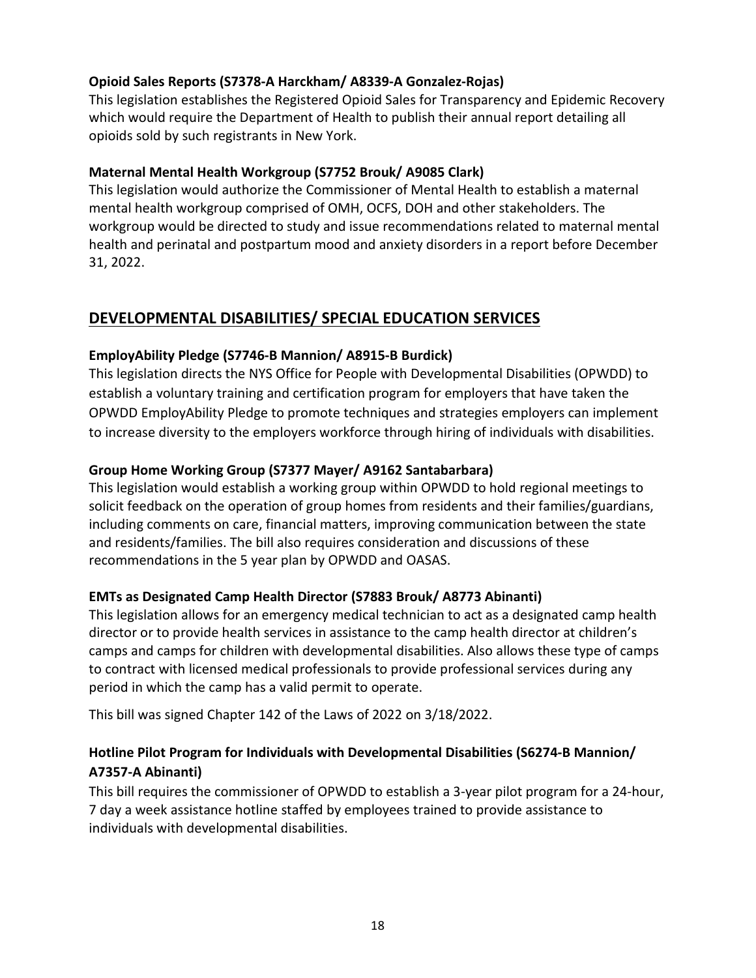## **Opioid Sales Reports (S7378-A Harckham/ A8339-A Gonzalez-Rojas)**

This legislation establishes the Registered Opioid Sales for Transparency and Epidemic Recovery which would require the Department of Health to publish their annual report detailing all opioids sold by such registrants in New York.

#### **Maternal Mental Health Workgroup (S7752 Brouk/ A9085 Clark)**

This legislation would authorize the Commissioner of Mental Health to establish a maternal mental health workgroup comprised of OMH, OCFS, DOH and other stakeholders. The workgroup would be directed to study and issue recommendations related to maternal mental health and perinatal and postpartum mood and anxiety disorders in a report before December 31, 2022.

## <span id="page-17-0"></span>**DEVELOPMENTAL DISABILITIES/ SPECIAL EDUCATION SERVICES**

#### **EmployAbility Pledge (S7746-B Mannion/ A8915-B Burdick)**

This legislation directs the NYS Office for People with Developmental Disabilities (OPWDD) to establish a voluntary training and certification program for employers that have taken the OPWDD EmployAbility Pledge to promote techniques and strategies employers can implement to increase diversity to the employers workforce through hiring of individuals with disabilities.

#### **Group Home Working Group (S7377 Mayer/ A9162 Santabarbara)**

This legislation would establish a working group within OPWDD to hold regional meetings to solicit feedback on the operation of group homes from residents and their families/guardians, including comments on care, financial matters, improving communication between the state and residents/families. The bill also requires consideration and discussions of these recommendations in the 5 year plan by OPWDD and OASAS.

#### **EMTs as Designated Camp Health Director (S7883 Brouk/ A8773 Abinanti)**

This legislation allows for an emergency medical technician to act as a designated camp health director or to provide health services in assistance to the camp health director at children's camps and camps for children with developmental disabilities. Also allows these type of camps to contract with licensed medical professionals to provide professional services during any period in which the camp has a valid permit to operate.

This bill was signed Chapter 142 of the Laws of 2022 on 3/18/2022.

## **Hotline Pilot Program for Individuals with Developmental Disabilities (S6274-B Mannion/ A7357-A Abinanti)**

This bill requires the commissioner of OPWDD to establish a 3-year pilot program for a 24-hour, 7 day a week assistance hotline staffed by employees trained to provide assistance to individuals with developmental disabilities.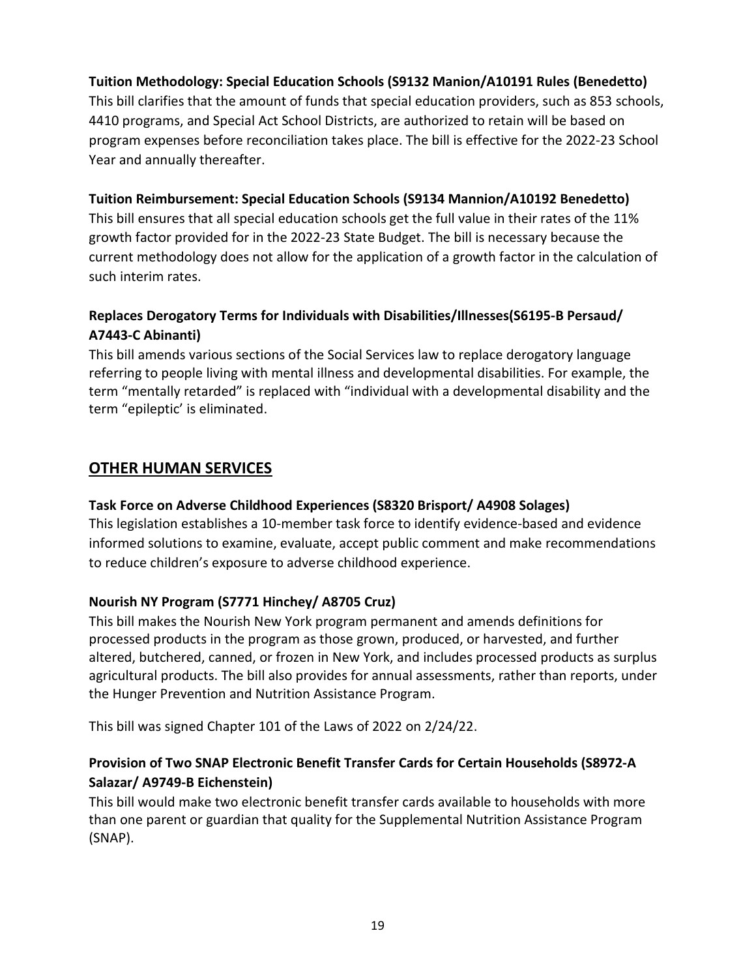#### **Tuition Methodology: Special Education Schools (S9132 Manion/A10191 Rules (Benedetto)**

This bill clarifies that the amount of funds that special education providers, such as 853 schools, 4410 programs, and Special Act School Districts, are authorized to retain will be based on program expenses before reconciliation takes place. The bill is effective for the 2022-23 School Year and annually thereafter.

#### **Tuition Reimbursement: Special Education Schools (S9134 Mannion/A10192 Benedetto)**

This bill ensures that all special education schools get the full value in their rates of the 11% growth factor provided for in the 2022-23 State Budget. The bill is necessary because the current methodology does not allow for the application of a growth factor in the calculation of such interim rates.

## **Replaces Derogatory Terms for Individuals with Disabilities/Illnesses(S6195-B Persaud/ A7443-C Abinanti)**

This bill amends various sections of the Social Services law to replace derogatory language referring to people living with mental illness and developmental disabilities. For example, the term "mentally retarded" is replaced with "individual with a developmental disability and the term "epileptic' is eliminated.

## <span id="page-18-0"></span>**OTHER HUMAN SERVICES**

#### **Task Force on Adverse Childhood Experiences (S8320 Brisport/ A4908 Solages)**

This legislation establishes a 10-member task force to identify evidence-based and evidence informed solutions to examine, evaluate, accept public comment and make recommendations to reduce children's exposure to adverse childhood experience.

#### **Nourish NY Program (S7771 Hinchey/ A8705 Cruz)**

This bill makes the Nourish New York program permanent and amends definitions for processed products in the program as those grown, produced, or harvested, and further altered, butchered, canned, or frozen in New York, and includes processed products as surplus agricultural products. The bill also provides for annual assessments, rather than reports, under the Hunger Prevention and Nutrition Assistance Program.

This bill was signed Chapter 101 of the Laws of 2022 on 2/24/22.

## **Provision of Two SNAP Electronic Benefit Transfer Cards for Certain Households (S8972-A Salazar/ A9749-B Eichenstein)**

This bill would make two electronic benefit transfer cards available to households with more than one parent or guardian that quality for the Supplemental Nutrition Assistance Program (SNAP).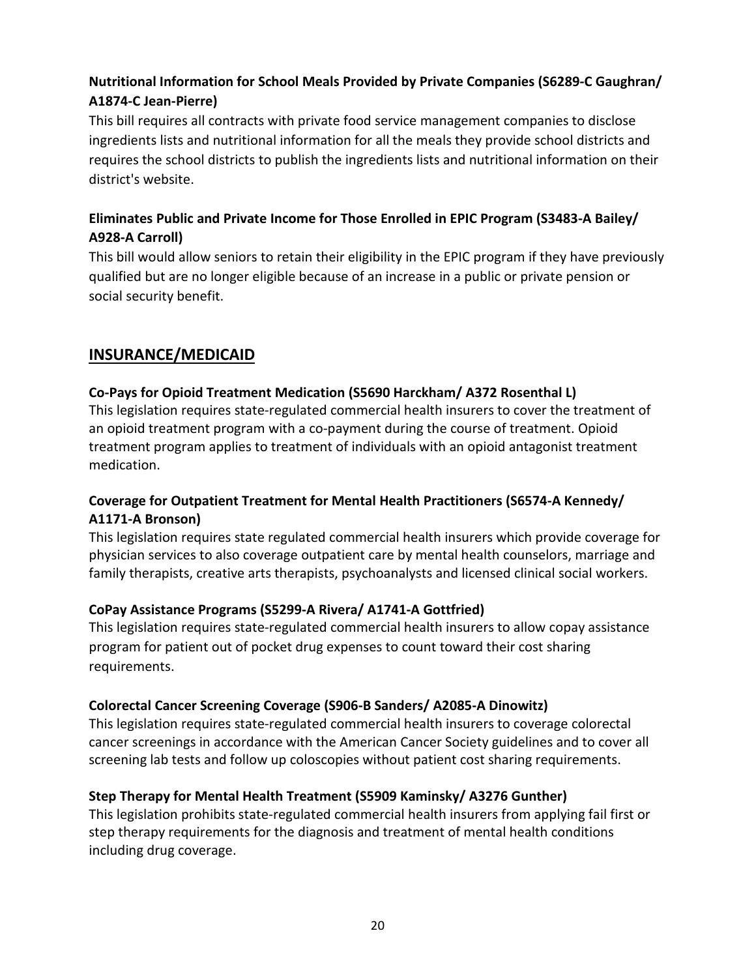# **Nutritional Information for School Meals Provided by Private Companies (S6289-C Gaughran/ A1874-C Jean-Pierre)**

This bill requires all contracts with private food service management companies to disclose ingredients lists and nutritional information for all the meals they provide school districts and requires the school districts to publish the ingredients lists and nutritional information on their district's website.

## **Eliminates Public and Private Income for Those Enrolled in EPIC Program (S3483-A Bailey/ A928-A Carroll)**

This bill would allow seniors to retain their eligibility in the EPIC program if they have previously qualified but are no longer eligible because of an increase in a public or private pension or social security benefit.

# <span id="page-19-0"></span>**INSURANCE/MEDICAID**

## **Co-Pays for Opioid Treatment Medication (S5690 Harckham/ A372 Rosenthal L)**

This legislation requires state-regulated commercial health insurers to cover the treatment of an opioid treatment program with a co-payment during the course of treatment. Opioid treatment program applies to treatment of individuals with an opioid antagonist treatment medication.

## **Coverage for Outpatient Treatment for Mental Health Practitioners (S6574-A Kennedy/ A1171-A Bronson)**

This legislation requires state regulated commercial health insurers which provide coverage for physician services to also coverage outpatient care by mental health counselors, marriage and family therapists, creative arts therapists, psychoanalysts and licensed clinical social workers.

## **CoPay Assistance Programs (S5299-A Rivera/ A1741-A Gottfried)**

This legislation requires state-regulated commercial health insurers to allow copay assistance program for patient out of pocket drug expenses to count toward their cost sharing requirements.

#### **Colorectal Cancer Screening Coverage (S906-B Sanders/ A2085-A Dinowitz)**

This legislation requires state-regulated commercial health insurers to coverage colorectal cancer screenings in accordance with the American Cancer Society guidelines and to cover all screening lab tests and follow up coloscopies without patient cost sharing requirements.

#### **Step Therapy for Mental Health Treatment (S5909 Kaminsky/ A3276 Gunther)**

This legislation prohibits state-regulated commercial health insurers from applying fail first or step therapy requirements for the diagnosis and treatment of mental health conditions including drug coverage.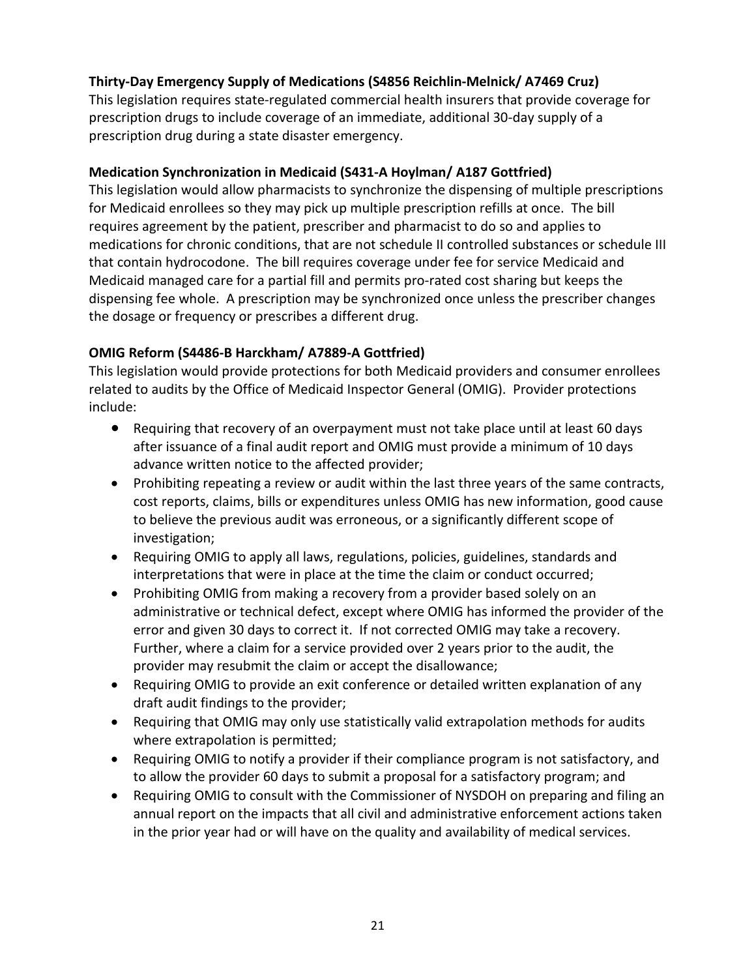## **Thirty-Day Emergency Supply of Medications (S4856 Reichlin-Melnick/ A7469 Cruz)**

This legislation requires state-regulated commercial health insurers that provide coverage for prescription drugs to include coverage of an immediate, additional 30-day supply of a prescription drug during a state disaster emergency.

#### **Medication Synchronization in Medicaid (S431-A Hoylman/ A187 Gottfried)**

This legislation would allow pharmacists to synchronize the dispensing of multiple prescriptions for Medicaid enrollees so they may pick up multiple prescription refills at once. The bill requires agreement by the patient, prescriber and pharmacist to do so and applies to medications for chronic conditions, that are not schedule II controlled substances or schedule III that contain hydrocodone. The bill requires coverage under fee for service Medicaid and Medicaid managed care for a partial fill and permits pro-rated cost sharing but keeps the dispensing fee whole. A prescription may be synchronized once unless the prescriber changes the dosage or frequency or prescribes a different drug.

#### **OMIG Reform (S4486-B Harckham/ A7889-A Gottfried)**

This legislation would provide protections for both Medicaid providers and consumer enrollees related to audits by the Office of Medicaid Inspector General (OMIG). Provider protections include:

- Requiring that recovery of an overpayment must not take place until at least 60 days after issuance of a final audit report and OMIG must provide a minimum of 10 days advance written notice to the affected provider;
- Prohibiting repeating a review or audit within the last three years of the same contracts, cost reports, claims, bills or expenditures unless OMIG has new information, good cause to believe the previous audit was erroneous, or a significantly different scope of investigation;
- Requiring OMIG to apply all laws, regulations, policies, guidelines, standards and interpretations that were in place at the time the claim or conduct occurred;
- Prohibiting OMIG from making a recovery from a provider based solely on an administrative or technical defect, except where OMIG has informed the provider of the error and given 30 days to correct it. If not corrected OMIG may take a recovery. Further, where a claim for a service provided over 2 years prior to the audit, the provider may resubmit the claim or accept the disallowance;
- Requiring OMIG to provide an exit conference or detailed written explanation of any draft audit findings to the provider;
- Requiring that OMIG may only use statistically valid extrapolation methods for audits where extrapolation is permitted;
- Requiring OMIG to notify a provider if their compliance program is not satisfactory, and to allow the provider 60 days to submit a proposal for a satisfactory program; and
- Requiring OMIG to consult with the Commissioner of NYSDOH on preparing and filing an annual report on the impacts that all civil and administrative enforcement actions taken in the prior year had or will have on the quality and availability of medical services.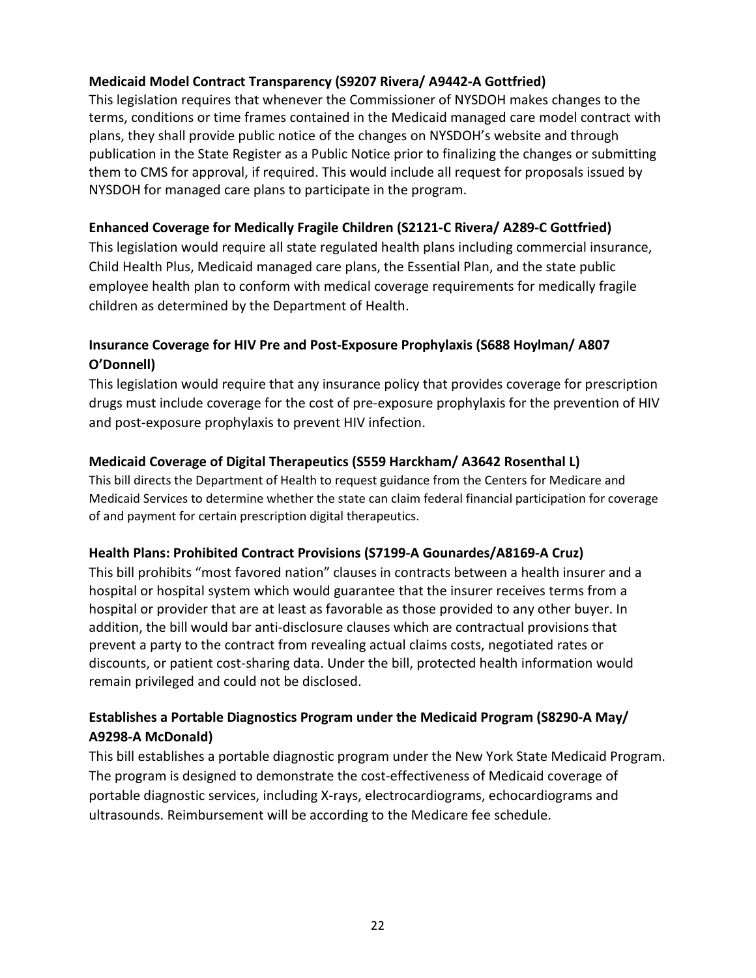## **Medicaid Model Contract Transparency (S9207 Rivera/ A9442-A Gottfried)**

This legislation requires that whenever the Commissioner of NYSDOH makes changes to the terms, conditions or time frames contained in the Medicaid managed care model contract with plans, they shall provide public notice of the changes on NYSDOH's website and through publication in the State Register as a Public Notice prior to finalizing the changes or submitting them to CMS for approval, if required. This would include all request for proposals issued by NYSDOH for managed care plans to participate in the program.

#### **Enhanced Coverage for Medically Fragile Children (S2121-C Rivera/ A289-C Gottfried)**

This legislation would require all state regulated health plans including commercial insurance, Child Health Plus, Medicaid managed care plans, the Essential Plan, and the state public employee health plan to conform with medical coverage requirements for medically fragile children as determined by the Department of Health.

## **Insurance Coverage for HIV Pre and Post-Exposure Prophylaxis (S688 Hoylman/ A807 O'Donnell)**

This legislation would require that any insurance policy that provides coverage for prescription drugs must include coverage for the cost of pre-exposure prophylaxis for the prevention of HIV and post-exposure prophylaxis to prevent HIV infection.

#### **Medicaid Coverage of Digital Therapeutics (S559 Harckham/ A3642 Rosenthal L)**

This bill directs the Department of Health to request guidance from the Centers for Medicare and Medicaid Services to determine whether the state can claim federal financial participation for coverage of and payment for certain prescription digital therapeutics.

#### **Health Plans: Prohibited Contract Provisions (S7199-A Gounardes/A8169-A Cruz)**

This bill prohibits "most favored nation" clauses in contracts between a health insurer and a hospital or hospital system which would guarantee that the insurer receives terms from a hospital or provider that are at least as favorable as those provided to any other buyer. In addition, the bill would bar anti-disclosure clauses which are contractual provisions that prevent a party to the contract from revealing actual claims costs, negotiated rates or discounts, or patient cost-sharing data. Under the bill, protected health information would remain privileged and could not be disclosed.

## **Establishes a Portable Diagnostics Program under the Medicaid Program (S8290-A May/ A9298-A McDonald)**

This bill establishes a portable diagnostic program under the New York State Medicaid Program. The program is designed to demonstrate the cost-effectiveness of Medicaid coverage of portable diagnostic services, including X-rays, electrocardiograms, echocardiograms and ultrasounds. Reimbursement will be according to the Medicare fee schedule.